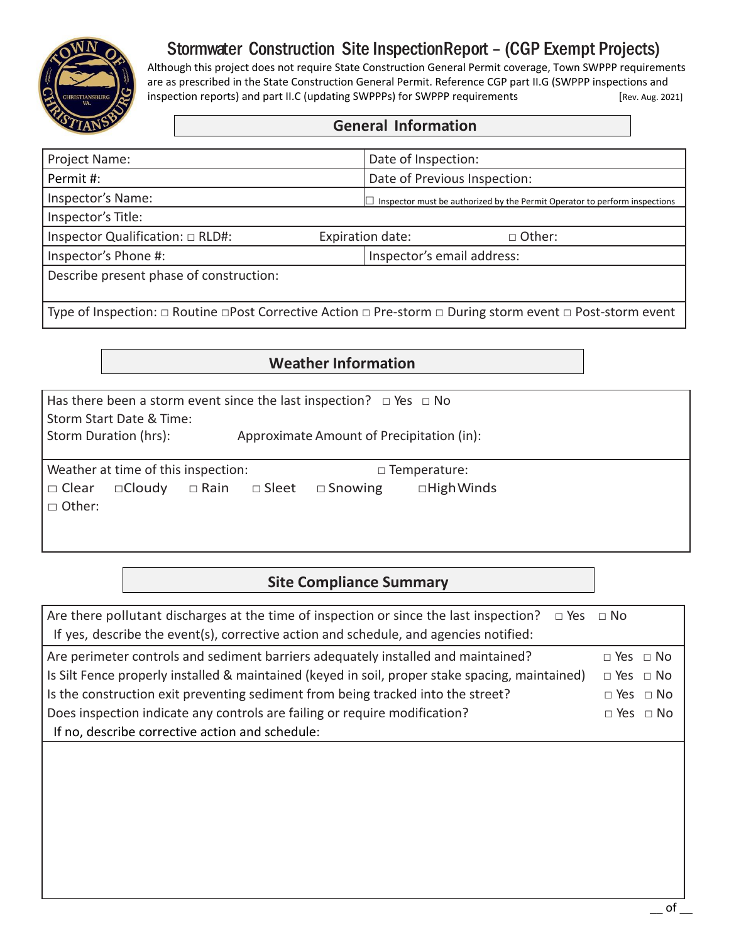

# Stormwater Construction Site InspectionReport – (CGP Exempt Projects)

Although this project does not require State Construction General Permit coverage, Town SWPPP requirements are as prescribed in the State Construction General Permit. Reference CGP part II.G (SWPPP inspections and inspection reports) and part II.C (updating SWPPPs) for SWPPP requirements [Rev. Aug. 2021]

| Project Name:                                                                                             | Date of Inspection:                                                               |  |  |
|-----------------------------------------------------------------------------------------------------------|-----------------------------------------------------------------------------------|--|--|
| Permit #:                                                                                                 | Date of Previous Inspection:                                                      |  |  |
| Inspector's Name:                                                                                         | $\Box$ Inspector must be authorized by the Permit Operator to perform inspections |  |  |
| Inspector's Title:                                                                                        |                                                                                   |  |  |
| Inspector Qualification: $\Box$ RLD#:                                                                     | Expiration date:<br>□ Other:                                                      |  |  |
| Inspector's Phone #:                                                                                      | Inspector's email address:                                                        |  |  |
| Describe present phase of construction:                                                                   |                                                                                   |  |  |
|                                                                                                           |                                                                                   |  |  |
| Type of Inspection: □ Routine □Post Corrective Action □ Pre-storm □ During storm event □ Post-storm event |                                                                                   |  |  |

## **Weather Information**

| Has there been a storm event since the last inspection? $\Box$ Yes $\Box$ No<br>Storm Start Date & Time:<br>Storm Duration (hrs):<br>Approximate Amount of Precipitation (in): |                                |                |                                          |  |
|--------------------------------------------------------------------------------------------------------------------------------------------------------------------------------|--------------------------------|----------------|------------------------------------------|--|
| Weather at time of this inspection:<br>$\Box$ Cloudy<br>$\Box$ Clear<br>$\Box$ Other:                                                                                          | $\Box$ Rain<br>$\square$ Sleet | $\Box$ Snowing | $\Box$ Temperature:<br>$\Box$ High Winds |  |

### **Site Compliance Summary**

| Are there pollutant discharges at the time of inspection or since the last inspection? $\Box$ Yes $\Box$ No |
|-------------------------------------------------------------------------------------------------------------|
|                                                                                                             |
| $\Box$ Yes $\Box$ No                                                                                        |
| $\Box$ Yes $\Box$ No                                                                                        |
| $\Box$ Yes $\Box$ No                                                                                        |
| $\Box$ Yes $\Box$ No                                                                                        |
|                                                                                                             |
|                                                                                                             |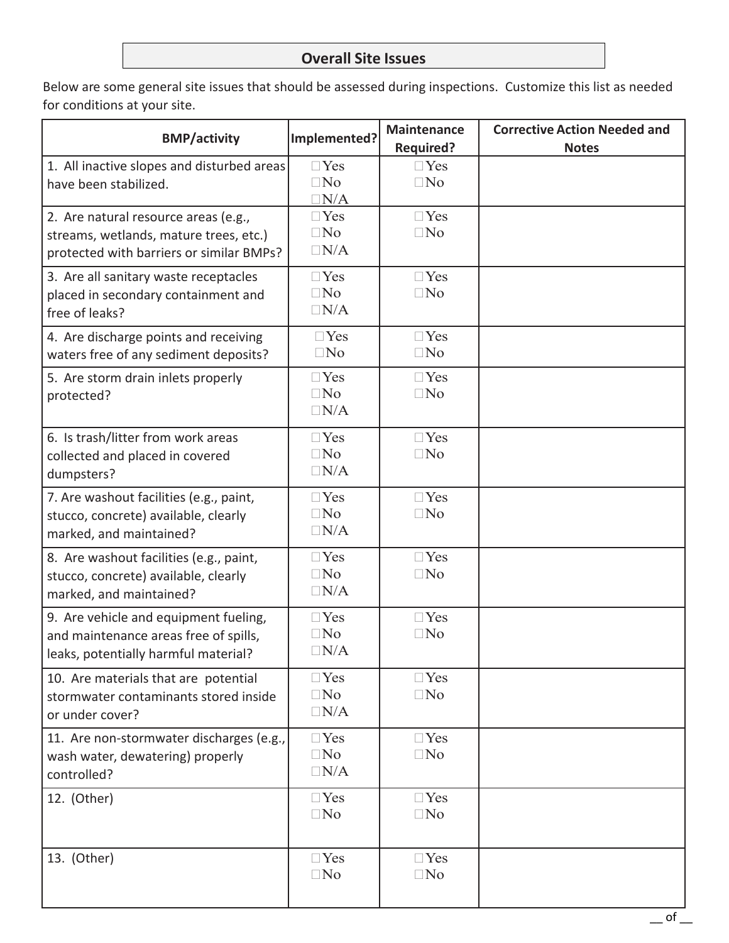#### **Overall Site Issues**

Below are some general site issues that should be assessed during inspections. Customize this list as needed for conditions at your site.

| <b>BMP/activity</b>                                                                                                        | Implemented?                             | <b>Maintenance</b><br><b>Required?</b> | <b>Corrective Action Needed and</b><br><b>Notes</b> |
|----------------------------------------------------------------------------------------------------------------------------|------------------------------------------|----------------------------------------|-----------------------------------------------------|
| 1. All inactive slopes and disturbed areas<br>have been stabilized.                                                        | $\Box$ Yes<br>$\square$ No<br>$\Box N/A$ | $\Box$ Yes<br>$\Box$ No                |                                                     |
| 2. Are natural resource areas (e.g.,<br>streams, wetlands, mature trees, etc.)<br>protected with barriers or similar BMPs? | $\Box$ Yes<br>$\Box$ No<br>$\Box N/A$    | $\Box$ Yes<br>$\square$ No             |                                                     |
| 3. Are all sanitary waste receptacles<br>placed in secondary containment and<br>free of leaks?                             | $\neg$ Yes<br>$\Box$ No<br>$\Box N/A$    | $\Box$ Yes<br>$\Box$ No                |                                                     |
| 4. Are discharge points and receiving<br>waters free of any sediment deposits?                                             | $\Box$ Yes<br>$\Box$ No                  | $\Box$ Yes<br>$\Box$ No                |                                                     |
| 5. Are storm drain inlets properly<br>protected?                                                                           | $\Box$ Yes<br>$\Box$ No<br>$\Box N/A$    | $\Box$ Yes<br>$\Box$ No                |                                                     |
| 6. Is trash/litter from work areas<br>collected and placed in covered<br>dumpsters?                                        | $\Box$ Yes<br>$\square$ No<br>$\Box N/A$ | $\Box$ Yes<br>$\square$ No             |                                                     |
| 7. Are washout facilities (e.g., paint,<br>stucco, concrete) available, clearly<br>marked, and maintained?                 | $\Box$ Yes<br>$\Box$ No<br>$\Box N/A$    | $\Box$ Yes<br>$\Box$ No                |                                                     |
| 8. Are washout facilities (e.g., paint,<br>stucco, concrete) available, clearly<br>marked, and maintained?                 | $\Box$ Yes<br>$\Box$ No<br>$\Box N/A$    | $\Box$ Yes<br>$\Box$ No                |                                                     |
| 9. Are vehicle and equipment fueling,<br>and maintenance areas free of spills,<br>leaks, potentially harmful material?     | $\Box$ Yes<br>$\square$ No<br>$\Box N/A$ | $\Box$ Yes<br>$\square$ No             |                                                     |
| 10. Are materials that are potential<br>stormwater contaminants stored inside<br>or under cover?                           | $\Box$ Yes<br>$\square$ No<br>$\Box N/A$ | $\Box$ Yes<br>$\Box$ No                |                                                     |
| 11. Are non-stormwater discharges (e.g.,<br>wash water, dewatering) properly<br>controlled?                                | $\Box$ Yes<br>$\square$ No<br>$\Box N/A$ | $\Box$ Yes<br>$\square$ No             |                                                     |
| 12. (Other)                                                                                                                | $\Box$ Yes<br>$\Box$ No                  | $\Box$ Yes<br>$\Box$ No                |                                                     |
| 13. (Other)                                                                                                                | $\Box$ Yes<br>$\square$ No               | $\Box$ Yes<br>$\Box$ No                |                                                     |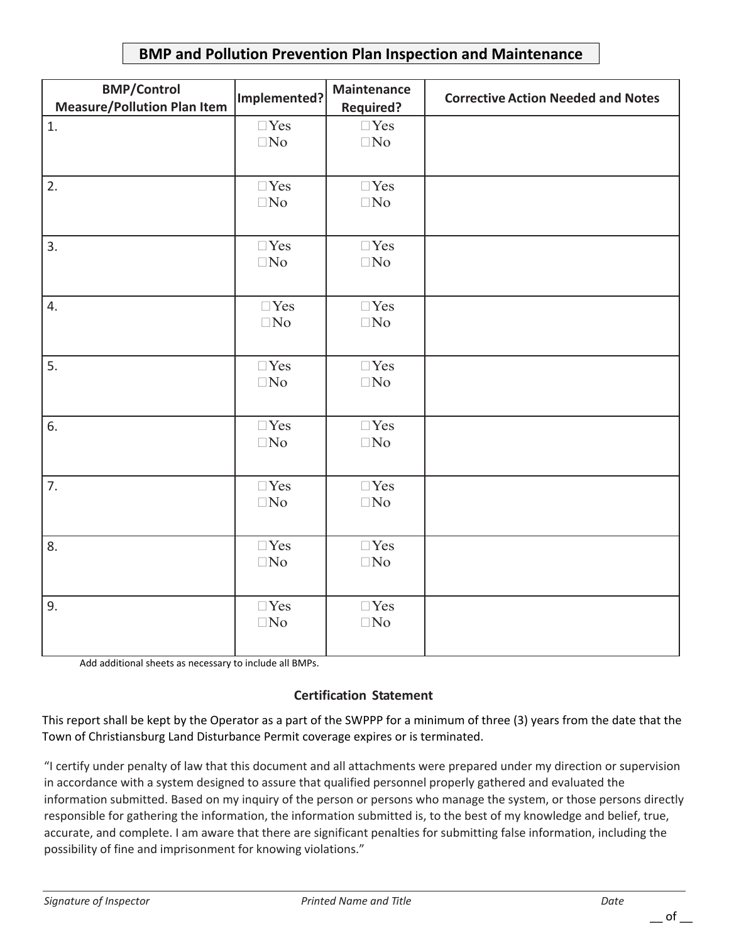#### **BMP and Pollution Prevention Plan Inspection and Maintenance**

| <b>BMP/Control</b><br><b>Measure/Pollution Plan Item</b> | Implemented?            | <b>Maintenance</b><br><b>Required?</b> | <b>Corrective Action Needed and Notes</b> |
|----------------------------------------------------------|-------------------------|----------------------------------------|-------------------------------------------|
| 1.                                                       | $\Box$ Yes<br>$\Box$ No | $\Box$ Yes<br>$\Box$ No                |                                           |
| 2.                                                       | $\Box$ Yes<br>$\Box$ No | $\Box$ Yes<br>$\Box$ No                |                                           |
| 3.                                                       | $\Box$ Yes<br>$\Box$ No | $\Box$ Yes<br>$\Box$ No                |                                           |
| 4.                                                       | $\Box$ Yes<br>$\Box$ No | $\Box$ Yes<br>$\Box$ No                |                                           |
| 5.                                                       | $\Box$ Yes<br>$\Box$ No | $\Box$ Yes<br>$\Box$ No                |                                           |
| 6.                                                       | $\Box$ Yes<br>$\Box$ No | $\Box$ Yes<br>$\Box$ No                |                                           |
| 7.                                                       | $\Box$ Yes<br>$\Box$ No | $\Box$ Yes<br>$\Box$ No                |                                           |
| 8.                                                       | $\Box$ Yes<br>$\Box$ No | $\Box$ Yes<br>$\Box$ No                |                                           |
| 9.                                                       | $\Box$ Yes<br>$\Box$ No | $\Box$ Yes<br>$\Box$ No                |                                           |

Add additional sheets as necessary to include all BMPs.

#### **Certification Statement**

This report shall be kept by the Operator as a part of the SWPPP for a minimum of three (3) years from the date that the Town of Christiansburg Land Disturbance Permit coverage expires or is terminated.

"I certify under penalty of law that this document and all attachments were prepared under my direction or supervision in accordance with a system designed to assure that qualified personnel properly gathered and evaluated the information submitted. Based on my inquiry of the person or persons who manage the system, or those persons directly responsible for gathering the information, the information submitted is, to the best of my knowledge and belief, true, accurate, and complete. I am aware that there are significant penalties for submitting false information, including the possibility of fine and imprisonment for knowing violations."